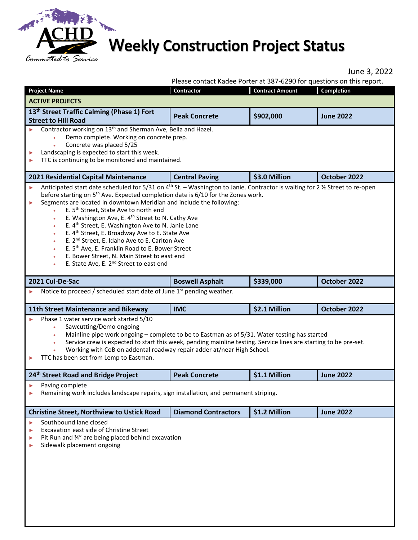

## **Weekly Construction Project Status**

022

|        |                                                                                                                                                                                                                                                                                                                                                                                                                                                                                                                                                            |                            |                        | June 3, 20<br>Please contact Kadee Porter at 387-6290 for questions on this report. |
|--------|------------------------------------------------------------------------------------------------------------------------------------------------------------------------------------------------------------------------------------------------------------------------------------------------------------------------------------------------------------------------------------------------------------------------------------------------------------------------------------------------------------------------------------------------------------|----------------------------|------------------------|-------------------------------------------------------------------------------------|
|        | <b>Project Name</b>                                                                                                                                                                                                                                                                                                                                                                                                                                                                                                                                        | Contractor                 | <b>Contract Amount</b> | <b>Completion</b>                                                                   |
|        | <b>ACTIVE PROJECTS</b>                                                                                                                                                                                                                                                                                                                                                                                                                                                                                                                                     |                            |                        |                                                                                     |
|        | 13 <sup>th</sup> Street Traffic Calming (Phase 1) Fort<br><b>Street to Hill Road</b>                                                                                                                                                                                                                                                                                                                                                                                                                                                                       | <b>Peak Concrete</b>       | \$902,000              | <b>June 2022</b>                                                                    |
| ▶<br>▶ | Contractor working on 13 <sup>th</sup> and Sherman Ave, Bella and Hazel.<br>Demo complete. Working on concrete prep.<br>Concrete was placed 5/25<br>Landscaping is expected to start this week.<br>TTC is continuing to be monitored and maintained.                                                                                                                                                                                                                                                                                                       |                            |                        |                                                                                     |
|        | 2021 Residential Capital Maintenance                                                                                                                                                                                                                                                                                                                                                                                                                                                                                                                       | <b>Central Paving</b>      | \$3.0 Million          | October 2022                                                                        |
| ь      | Segments are located in downtown Meridian and include the following:<br>E. 5 <sup>th</sup> Street, State Ave to north end<br>E. Washington Ave, E. 4 <sup>th</sup> Street to N. Cathy Ave<br>E. 4 <sup>th</sup> Street, E. Washington Ave to N. Janie Lane<br>E. 4 <sup>th</sup> Street, E. Broadway Ave to E. State Ave<br>E. 2 <sup>nd</sup> Street, E. Idaho Ave to E. Carlton Ave<br>E. 5 <sup>th</sup> Ave, E. Franklin Road to E. Bower Street<br>E. Bower Street, N. Main Street to east end<br>E. State Ave, E. 2 <sup>nd</sup> Street to east end |                            |                        |                                                                                     |
|        | 2021 Cul-De-Sac                                                                                                                                                                                                                                                                                                                                                                                                                                                                                                                                            | <b>Boswell Asphalt</b>     | \$339,000              | October 2022                                                                        |
|        | Notice to proceed / scheduled start date of June 1 <sup>st</sup> pending weather.                                                                                                                                                                                                                                                                                                                                                                                                                                                                          |                            |                        |                                                                                     |
|        |                                                                                                                                                                                                                                                                                                                                                                                                                                                                                                                                                            |                            | \$2.1 Million          | October 2022                                                                        |
|        | <b>11th Street Maintenance and Bikeway</b>                                                                                                                                                                                                                                                                                                                                                                                                                                                                                                                 | <b>IMC</b>                 |                        |                                                                                     |
| ▶      | Phase 1 water service work started 5/10<br>Sawcutting/Demo ongoing<br>Mainline pipe work ongoing - complete to be to Eastman as of 5/31. Water testing has started<br>٠<br>Service crew is expected to start this week, pending mainline testing. Service lines are starting to be pre-set.<br>Working with CoB on addental roadway repair adder at/near High School.<br>TTC has been set from Lemp to Eastman.                                                                                                                                            |                            |                        |                                                                                     |
|        | 24 <sup>th</sup> Street Road and Bridge Project                                                                                                                                                                                                                                                                                                                                                                                                                                                                                                            | <b>Peak Concrete</b>       | \$1.1 Million          | <b>June 2022</b>                                                                    |
| ▶<br>▶ | Paving complete<br>Remaining work includes landscape repairs, sign installation, and permanent striping.                                                                                                                                                                                                                                                                                                                                                                                                                                                   |                            |                        |                                                                                     |
|        | <b>Christine Street, Northview to Ustick Road</b>                                                                                                                                                                                                                                                                                                                                                                                                                                                                                                          | <b>Diamond Contractors</b> | \$1.2 Million          | <b>June 2022</b>                                                                    |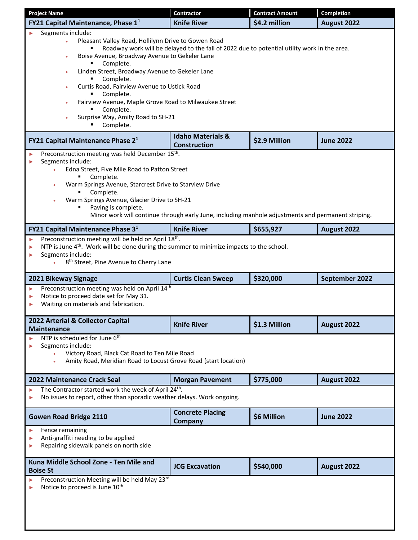| <b>Project Name</b>                                                                                                                                                                                                                                                                                                                                                                                                                     | <b>Contractor</b>                                                                                  | <b>Contract Amount</b> | <b>Completion</b> |
|-----------------------------------------------------------------------------------------------------------------------------------------------------------------------------------------------------------------------------------------------------------------------------------------------------------------------------------------------------------------------------------------------------------------------------------------|----------------------------------------------------------------------------------------------------|------------------------|-------------------|
| FY21 Capital Maintenance, Phase 1 <sup>1</sup>                                                                                                                                                                                                                                                                                                                                                                                          | <b>Knife River</b>                                                                                 | \$4.2 million          | August 2022       |
| Segments include:<br>Pleasant Valley Road, Hollilynn Drive to Gowen Road<br>$\bullet$<br>Boise Avenue, Broadway Avenue to Gekeler Lane<br>٠<br>Complete.<br>Linden Street, Broadway Avenue to Gekeler Lane<br>٠<br>Complete.<br>Curtis Road, Fairview Avenue to Ustick Road<br>۰<br>Complete.<br>Fairview Avenue, Maple Grove Road to Milwaukee Street<br>٠<br>Complete.<br>Surprise Way, Amity Road to SH-21<br>$\bullet$<br>Complete. | Roadway work will be delayed to the fall of 2022 due to potential utility work in the area.        |                        |                   |
| FY21 Capital Maintenance Phase 2 <sup>1</sup>                                                                                                                                                                                                                                                                                                                                                                                           | <b>Idaho Materials &amp;</b><br><b>Construction</b>                                                | \$2.9 Million          | <b>June 2022</b>  |
| Preconstruction meeting was held December 15 <sup>th</sup> .<br>Segments include:<br>Edna Street, Five Mile Road to Patton Street<br>$\bullet$<br>Complete.<br>Warm Springs Avenue, Starcrest Drive to Starview Drive<br>۰<br>Complete.<br>Warm Springs Avenue, Glacier Drive to SH-21<br>٠<br>Paving is complete.                                                                                                                      | Minor work will continue through early June, including manhole adjustments and permanent striping. |                        |                   |
| FY21 Capital Maintenance Phase 3 <sup>1</sup>                                                                                                                                                                                                                                                                                                                                                                                           | <b>Knife River</b>                                                                                 | \$655,927              | August 2022       |
| Preconstruction meeting will be held on April 18th.<br>▶<br>NTP is June 4 <sup>th</sup> . Work will be done during the summer to minimize impacts to the school.<br>▶<br>Segments include:<br>▶<br>8 <sup>th</sup> Street, Pine Avenue to Cherry Lane                                                                                                                                                                                   |                                                                                                    |                        |                   |
| 2021 Bikeway Signage                                                                                                                                                                                                                                                                                                                                                                                                                    | <b>Curtis Clean Sweep</b>                                                                          | \$320,000              | September 2022    |
| Preconstruction meeting was held on April 14th<br>▶<br>Notice to proceed date set for May 31.<br>Waiting on materials and fabrication.                                                                                                                                                                                                                                                                                                  |                                                                                                    |                        |                   |
| 2022 Arterial & Collector Capital<br><b>Maintenance</b>                                                                                                                                                                                                                                                                                                                                                                                 | <b>Knife River</b>                                                                                 | \$1.3 Million          | August 2022       |
| NTP is scheduled for June 6 <sup>th</sup><br>Segments include:<br>Victory Road, Black Cat Road to Ten Mile Road<br>Amity Road, Meridian Road to Locust Grove Road (start location)<br>۰                                                                                                                                                                                                                                                 |                                                                                                    |                        |                   |
| <b>2022 Maintenance Crack Seal</b>                                                                                                                                                                                                                                                                                                                                                                                                      | <b>Morgan Pavement</b>                                                                             | \$775,000              | August 2022       |
| The Contractor started work the week of April 24 <sup>th</sup> .<br>▶<br>No issues to report, other than sporadic weather delays. Work ongoing.                                                                                                                                                                                                                                                                                         |                                                                                                    |                        |                   |
| <b>Gowen Road Bridge 2110</b>                                                                                                                                                                                                                                                                                                                                                                                                           | <b>Concrete Placing</b><br><b>Company</b>                                                          | \$6 Million            | <b>June 2022</b>  |
| Fence remaining<br>▶<br>Anti-graffiti needing to be applied<br>Repairing sidewalk panels on north side                                                                                                                                                                                                                                                                                                                                  |                                                                                                    |                        |                   |
| Kuna Middle School Zone - Ten Mile and<br><b>Boise St</b>                                                                                                                                                                                                                                                                                                                                                                               | <b>JCG Excavation</b>                                                                              | \$540,000              | August 2022       |
| Preconstruction Meeting will be held May 23rd<br>Notice to proceed is June 10 <sup>th</sup>                                                                                                                                                                                                                                                                                                                                             |                                                                                                    |                        |                   |